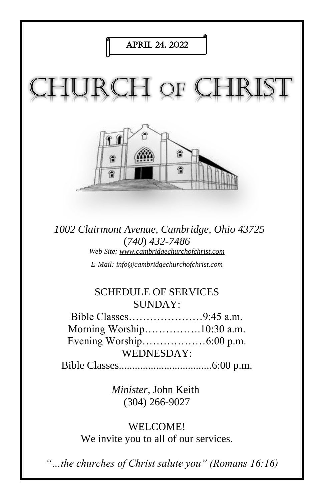

*1002 Clairmont Avenue, Cambridge, Ohio 43725* (*740*) *432-7486 Web Site: www.cambridgechurchofchrist.com E-Mail: info@cambridgechurchofchrist.com*

#### SCHEDULE OF SERVICES SUNDAY:

Bible Classes…………………9:45 a.m. Morning Worship…………….10:30 a.m. Evening Worship………………6:00 p.m. WEDNESDAY:

Bible Classes...................................6:00 p.m.

*Minister,* John Keith (304) 266-9027

WELCOME! We invite you to all of our services.

*"…the churches of Christ salute you" (Romans 16:16)*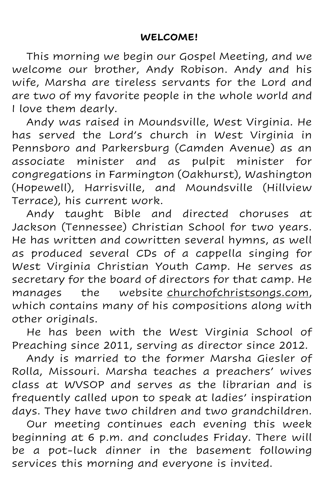This morning we begin our Gospel Meeting, and we welcome our brother, Andy Robison. Andy and his wife, Marsha are tireless servants for the Lord and are two of my favorite people in the whole world and I love them dearly.

Andy was raised in Moundsville, West Virginia. He has served the Lord's church in West Virginia in Pennsboro and Parkersburg (Camden Avenue) as an associate minister and as pulpit minister for congregations in Farmington (Oakhurst), Washington (Hopewell), Harrisville, and Moundsville (Hillview Terrace), his current work.

Andy taught Bible and directed choruses at Jackson (Tennessee) Christian School for two years. He has written and cowritten several hymns, as well as produced several CDs of a cappella singing for West Virginia Christian Youth Camp. He serves as secretary for the board of directors for that camp. He manages the website churchofchristsongs.com, which contains many of his compositions along with other originals.

He has been with the West Virginia School of Preaching since 2011, serving as director since 2012.

Andy is married to the former Marsha Giesler of Rolla, Missouri. Marsha teaches a preachers' wives class at WVSOP and serves as the librarian and is frequently called upon to speak at ladies' inspiration days. They have two children and two grandchildren.

Our meeting continues each evening this week beginning at 6 p.m. and concludes Friday. There will be a pot-luck dinner in the basement following services this morning and everyone is invited.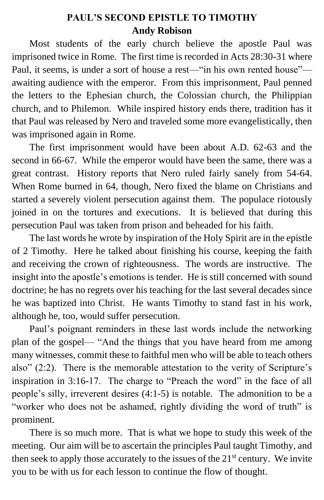### **PAUL'S SECOND EPISTLE TO TIMOTHY Andy Robison**

Most students of the early church believe the apostle Paul was imprisoned twice in Rome. The first time is recorded in Acts 28:30-31 where Paul, it seems, is under a sort of house a rest—"in his own rented house" awaiting audience with the emperor. From this imprisonment, Paul penned the letters to the Ephesian church, the Colossian church, the Philippian church, and to Philemon. While inspired history ends there, tradition has it that Paul was released by Nero and traveled some more evangelistically, then was imprisoned again in Rome.

The first imprisonment would have been about A.D. 62-63 and the second in 66-67. While the emperor would have been the same, there was a great contrast. History reports that Nero ruled fairly sanely from 54-64. When Rome burned in 64, though, Nero fixed the blame on Christians and started a severely violent persecution against them. The populace riotously joined in on the tortures and executions. It is believed that during this persecution Paul was taken from prison and beheaded for his faith.

The last words he wrote by inspiration of the Holy Spirit are in the epistle of 2 Timothy. Here he talked about finishing his course, keeping the faith and receiving the crown of righteousness. The words are instructive. The insight into the apostle's emotions is tender. He is still concerned with sound doctrine; he has no regrets over his teaching for the last several decades since he was baptized into Christ. He wants Timothy to stand fast in his work, although he, too, would suffer persecution.

Paul's poignant reminders in these last words include the networking plan of the gospel— "And the things that you have heard from me among many witnesses, commit these to faithful men who will be able to teach others also" (2:2). There is the memorable attestation to the verity of Scripture's inspiration in 3:16-17. The charge to "Preach the word" in the face of all people's silly, irreverent desires (4:1-5) is notable. The admonition to be a "worker who does not be ashamed, rightly dividing the word of truth" is prominent.

There is so much more. That is what we hope to study this week of the meeting. Our aim will be to ascertain the principles Paul taught Timothy, and then seek to apply those accurately to the issues of the 21<sup>st</sup> century. We invite you to be with us for each lesson to continue the flow of thought.